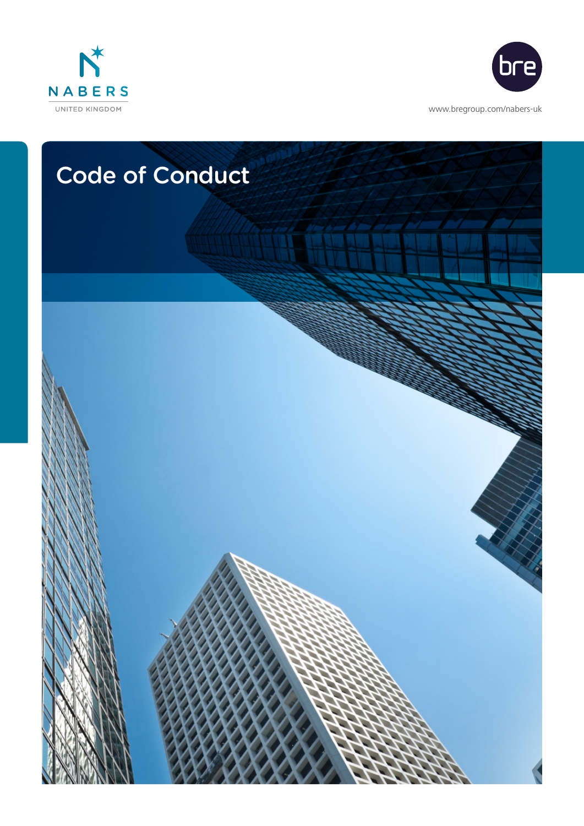



<www.bregroup.com/nabers-uk>

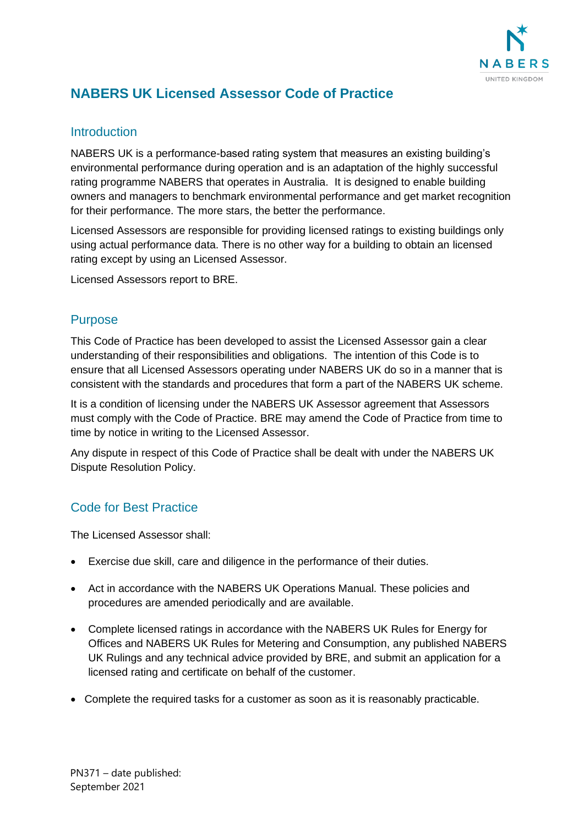

# **NABERS UK Licensed Assessor Code of Practice**

#### **Introduction**

NABERS UK is a performance-based rating system that measures an existing building's environmental performance during operation and is an adaptation of the highly successful rating programme NABERS that operates in Australia. It is designed to enable building owners and managers to benchmark environmental performance and get market recognition for their performance. The more stars, the better the performance.

Licensed Assessors are responsible for providing licensed ratings to existing buildings only using actual performance data. There is no other way for a building to obtain an licensed rating except by using an Licensed Assessor.

Licensed Assessors report to BRE.

## Purpose

This Code of Practice has been developed to assist the Licensed Assessor gain a clear understanding of their responsibilities and obligations. The intention of this Code is to ensure that all Licensed Assessors operating under NABERS UK do so in a manner that is consistent with the standards and procedures that form a part of the NABERS UK scheme.

It is a condition of licensing under the NABERS UK Assessor agreement that Assessors must comply with the Code of Practice. BRE may amend the Code of Practice from time to time by notice in writing to the Licensed Assessor.

Any dispute in respect of this Code of Practice shall be dealt with under the NABERS UK Dispute Resolution Policy.

## Code for Best Practice

The Licensed Assessor shall:

- Exercise due skill, care and diligence in the performance of their duties.
- Act in accordance with the NABERS UK Operations Manual. These policies and procedures are amended periodically and are available.
- Complete licensed ratings in accordance with the NABERS UK Rules for Energy for Offices and NABERS UK Rules for Metering and Consumption, any published NABERS UK Rulings and any technical advice provided by BRE, and submit an application for a licensed rating and certificate on behalf of the customer.
- Complete the required tasks for a customer as soon as it is reasonably practicable.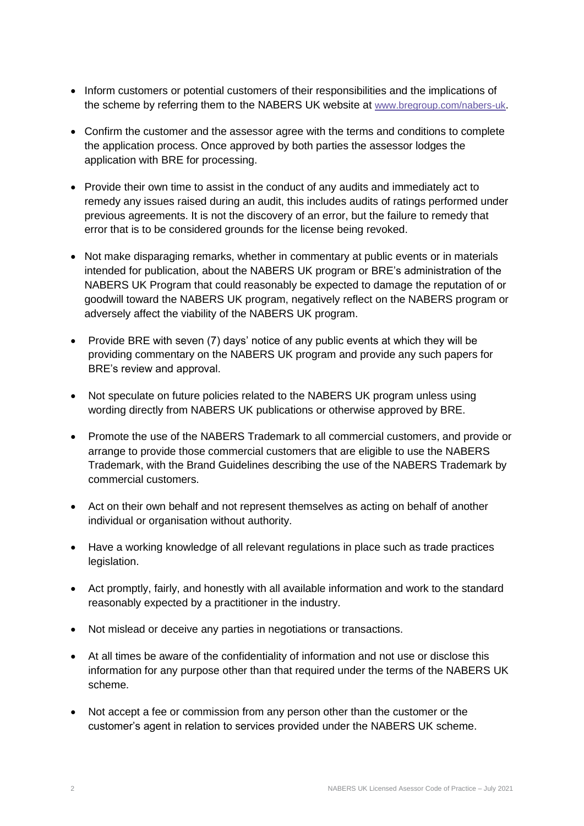- Inform customers or potential customers of their responsibilities and the implications of the scheme by referring them to the NABERS UK website at [www.bregroup.com/nabers-uk](http://www.bregroup.com/nabers-uk).
- Confirm the customer and the assessor agree with the terms and conditions to complete the application process. Once approved by both parties the assessor lodges the application with BRE for processing.
- Provide their own time to assist in the conduct of any audits and immediately act to remedy any issues raised during an audit, this includes audits of ratings performed under previous agreements. It is not the discovery of an error, but the failure to remedy that error that is to be considered grounds for the license being revoked.
- Not make disparaging remarks, whether in commentary at public events or in materials intended for publication, about the NABERS UK program or BRE's administration of the NABERS UK Program that could reasonably be expected to damage the reputation of or goodwill toward the NABERS UK program, negatively reflect on the NABERS program or adversely affect the viability of the NABERS UK program.
- Provide BRE with seven (7) days' notice of any public events at which they will be providing commentary on the NABERS UK program and provide any such papers for BRE's review and approval.
- Not speculate on future policies related to the NABERS UK program unless using wording directly from NABERS UK publications or otherwise approved by BRE.
- Promote the use of the NABERS Trademark to all commercial customers, and provide or arrange to provide those commercial customers that are eligible to use the NABERS Trademark, with the Brand Guidelines describing the use of the NABERS Trademark by commercial customers.
- Act on their own behalf and not represent themselves as acting on behalf of another individual or organisation without authority.
- Have a working knowledge of all relevant regulations in place such as trade practices legislation.
- Act promptly, fairly, and honestly with all available information and work to the standard reasonably expected by a practitioner in the industry.
- Not mislead or deceive any parties in negotiations or transactions.
- At all times be aware of the confidentiality of information and not use or disclose this information for any purpose other than that required under the terms of the NABERS UK scheme.
- Not accept a fee or commission from any person other than the customer or the customer's agent in relation to services provided under the NABERS UK scheme.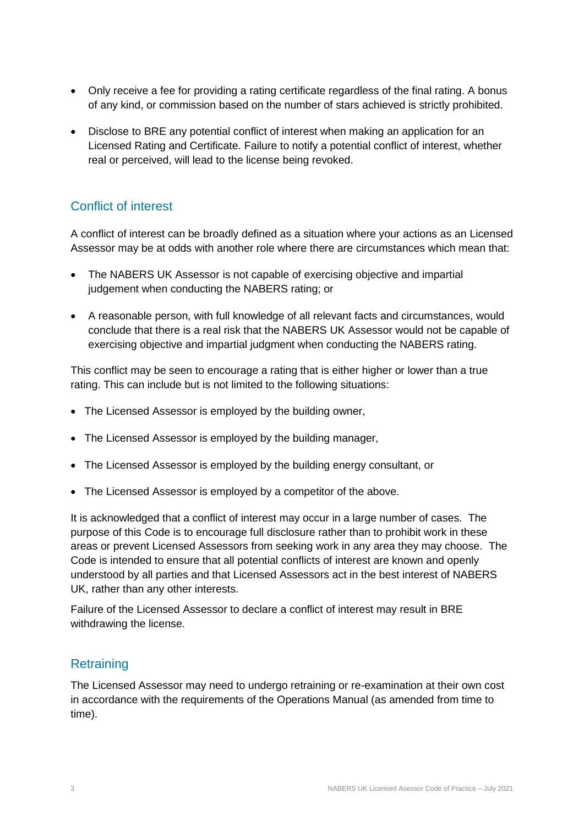- Only receive a fee for providing a rating certificate regardless of the final rating. A bonus of any kind, or commission based on the number of stars achieved is strictly prohibited.
- Disclose to BRE any potential conflict of interest when making an application for an Licensed Rating and Certificate. Failure to notify a potential conflict of interest, whether real or perceived, will lead to the license being revoked.

### Conflict of interest

A conflict of interest can be broadly defined as a situation where your actions as an Licensed Assessor may be at odds with another role where there are circumstances which mean that:

- The NABERS UK Assessor is not capable of exercising objective and impartial judgement when conducting the NABERS rating; or
- A reasonable person, with full knowledge of all relevant facts and circumstances, would conclude that there is a real risk that the NABERS UK Assessor would not be capable of exercising objective and impartial judgment when conducting the NABERS rating.

This conflict may be seen to encourage a rating that is either higher or lower than a true rating. This can include but is not limited to the following situations:

- The Licensed Assessor is employed by the building owner,
- The Licensed Assessor is employed by the building manager,
- The Licensed Assessor is employed by the building energy consultant, or
- The Licensed Assessor is employed by a competitor of the above.

It is acknowledged that a conflict of interest may occur in a large number of cases. The purpose of this Code is to encourage full disclosure rather than to prohibit work in these areas or prevent Licensed Assessors from seeking work in any area they may choose. The Code is intended to ensure that all potential conflicts of interest are known and openly understood by all parties and that Licensed Assessors act in the best interest of NABERS UK, rather than any other interests.

Failure of the Licensed Assessor to declare a conflict of interest may result in BRE withdrawing the license.

#### **Retraining**

The Licensed Assessor may need to undergo retraining or re-examination at their own cost in accordance with the requirements of the Operations Manual (as amended from time to time).